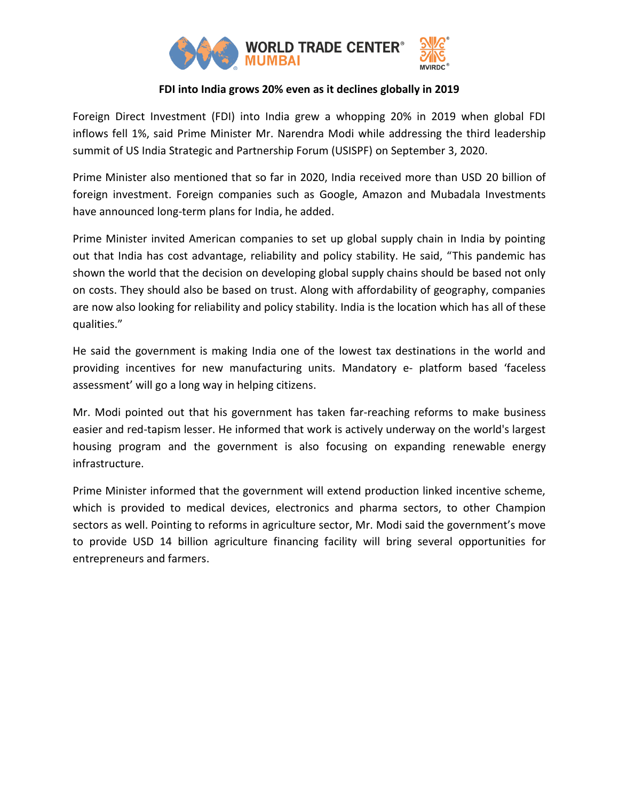

## **FDI into India grows 20% even as it declines globally in 2019**

Foreign Direct Investment (FDI) into India grew a whopping 20% in 2019 when global FDI inflows fell 1%, said Prime Minister Mr. Narendra Modi while addressing the third leadership summit of US India Strategic and Partnership Forum (USISPF) on September 3, 2020.

Prime Minister also mentioned that so far in 2020, India received more than USD 20 billion of foreign investment. Foreign companies such as Google, Amazon and Mubadala Investments have announced long-term plans for India, he added.

Prime Minister invited American companies to set up global supply chain in India by pointing out that India has cost advantage, reliability and policy stability. He said, "This pandemic has shown the world that the decision on developing global supply chains should be based not only on costs. They should also be based on trust. Along with affordability of geography, companies are now also looking for reliability and policy stability. India is the location which has all of these qualities."

He said the government is making India one of the lowest tax destinations in the world and providing incentives for new manufacturing units. Mandatory e- platform based 'faceless assessment' will go a long way in helping citizens.

Mr. Modi pointed out that his government has taken far-reaching reforms to make business easier and red-tapism lesser. He informed that work is actively underway on the world's largest housing program and the government is also focusing on expanding renewable energy infrastructure.

Prime Minister informed that the government will extend production linked incentive scheme, which is provided to medical devices, electronics and pharma sectors, to other Champion sectors as well. Pointing to reforms in agriculture sector, Mr. Modi said the government's move to provide USD 14 billion agriculture financing facility will bring several opportunities for entrepreneurs and farmers.